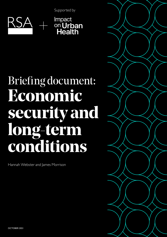Supported by



# Briefing document: **Economic security and long-term conditions**

Hannah Webster and James Morrison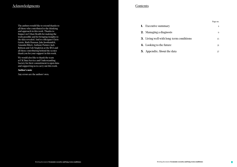# Acknowledgments

The authors would like to extend thanks to all those who contributed to the thinking and approach in this work. Thanks to Impact on Urban Health for making the work possible and for bringing insights to the data revealed. And to colleagues Chris Gaisie, Ruth Hannan, Jake Jooshandeh, Amanda Ibbett, Anthony Painter, Jack Robson and Ash Singleton at the RSA and all those contributing behind the scenes thank you for your support in this work.

We would also like to thank the team at UK Data Service and Understanding Society for their commitment to open data and supporting us to carry out this work.

#### **Author's note**

Any errors are the authors' own.

# **Contents**

- 1. Executive summary
- 2. Managing a diagnosis
- 3. Living well with long-term c
- 4. Looking to the future
- **5.** Appendix: About the data

|            | Page no. |
|------------|----------|
|            | 4        |
|            | 9        |
| conditions | 15       |
|            | 21       |
|            | 27       |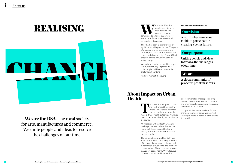# **REALISING** We define our ambitions as:<br>
Manufactures and<br> **We define our ambitions as:**<br> **We define our ambitions as:**<br> **Our vision**

**We are the RSA.** The royal society for arts, manufactures and commerce. We unite people and ideas to resolve the challenges of our time.

### A global community of proactive problem solvers.

Uniting people and ideas to resolve the challenges of our time.

**We define our amb royal society for arts,<br>
manufactures and commerce. We're<br>
committed to a future that works for** e are the RSA. The royal society for arts, manufactures and commerce. We're committed to a future that works for everyone. A future where we can all participate in its creation.

A world where everyone is able to participate in creating a better future.

# **We are**

### **Our purpose**

disproportionately impact people living in cities, and we work with local, national and international organisations, groups and individuals to tackle these.

The RSA has been at the forefront of significant social impact for over 250 years. Our proven change process, rigorous research, innovative ideas platforms and diverse global community of over 30,000 problem solvers, deliver solutions for lasting change.

The places that we grow up, live and work impact how healthy we are. Urban areas, like inner-<br>city London, have some of the most extreme health outcomes. Alongside and work impact how healthy we are. Urban areas, like innercity London, have some of the their vibrancy and diversity sit stark health inequalities.

We invite you to be part of this change. Join our community. Together, we'll unite people and ideas to resolve the challenges of our time.

Find out more at [thersa.org](http://thersa.org)

# **About Impact on Urban**

Our place is like so many others. So we share our insight, evidence and practical learning to improve health in cities around the world.

At Impact on Urban Health, we want to change this. We believe that we can remove obstacles to good health, by making urban areas healthier places for everyone to live.

The London boroughs of Lambeth and Southwark are our home. They are some of the most diverse areas in the world. It is here that we invest, test, and build our understanding of how cities can be shaped to support better health. We're focused on a few complex health issues that

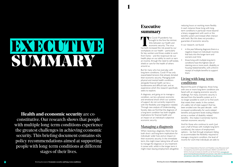# <span id="page-3-0"></span>EXECUTIVE SUMMATRY

**Health and economic security** are coconstitutive. Our research shows that people with multiple long-term conditions experience the greatest challenges in achieving economic security. This briefing document contains six policy recommendations aimed at supporting people with long-term conditions at different stages of their lives.

1

# **Executive summary**

The Covid-19 pandemic has<br>
brought to the fore the intrinsic<br>
links between our health and<br>
economic security. The virus<br>
has both increased the risk posed by our **T** brought to the fore the intrinsic links between our health and economic security. The virus workplaces on our health – particularly for key workers and those unable to work from home – and the reciprocal risk our health plays on our ability to work or earn an income, through the need to self-isolate, shield or care for the health of others around us.

But for many who live everyday with long-term conditions, Covid-19 has only exacerbated tensions that already dictated their economic security. Managing both physical and mental health conditions alongside financial health can be a burdensome and difficult task, and an experience which this research specifically seeks to explore.

- in the year following diagnosis there is a negative impact on individuals' incomes that lasts into the longer term and worsens over time
- those living with multiple long-term conditions have the highest rate of claiming one or more work, disability or housing related benefits, with a third in receipt of multiple benefits to support them.

Beyond the point of diagnosis, those living with one or more long-term conditions are faced with an ongoing economic security challenge. For many, economic security is derived from the benefits system as it is no longer possible to work or to find work that meets their needs. In the context of a safety net of state support that has been eroded over the past decade - with increased conditionality for work-related benefits and payment levels trailing inflation across a number of disability related benefits - this makes it extremely hard to maintain economic security.<sup>1</sup>

A diagnosis, and going on to manage a condition, can be a physical, economic and emotional shock which our systems of support do not currently respond to with the flexibility and integration needed. Through new analysis of Understanding Society data we find that the diagnosis of a long-term condition has both tangible implications for financial health and an impact on an individual's subjective economic security.

## Managing a diagnosis

When receiving a diagnosis, there may be both short- and long-term implications for individuals' wider lives and an impact on their economic security. In the immediate term, this might mean taking time off work to manage the diagnosis or any treatment it comes with, whilst in the longer term it might mean leaving employment altogether, reducing hours or working more flexibly. In each instance those living with longterm conditions in particular move beyond a binary engagement with work or the benefits system and instead often interact with both. But this does not provide a guarantee of economic security.

In our research, we found:

# Living with long-term conditions

And for those who continue to work (just over a half of those with multiple long-term conditions), the nature of employment options – be that through employers failing to accommodate the flexibility required to manage a long-term condition, the level of income for work that individuals are able to

Personal Independence Payment and Disability Living Allowance each increased by around 0.5 percent between 2020/21 and 2021/22. A full list of annual increases by benefit can be found here: [www.gov.uk/](http://www.gov.uk/government/publications/benefit-and-pension-rates-2021-to-2022/benefit-and-pension-rates-2021-to-2022#disability-living-allowance) [government/publications/benefit-and-pension-rates-2021-to-2022/benefit](http://www.gov.uk/government/publications/benefit-and-pension-rates-2021-to-2022/benefit-and-pension-rates-2021-to-2022#disability-living-allowance)[and-pension-rates-2021-to-2022#disability-living-allowance](http://www.gov.uk/government/publications/benefit-and-pension-rates-2021-to-2022/benefit-and-pension-rates-2021-to-2022#disability-living-allowance)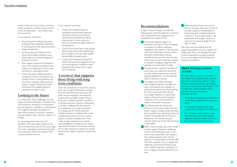access or the use of zero-hours contracts which provide no certainty about income in the coming weeks – can all spell longterm precarity.

In our research, we found:

- those living with multiple long-term conditions face the greatest adversity in achieving economic security across a range of measures
- for those who are unable to work due to their health conditions, twothirds report low levels of subjective economic security
- that a higher proportion of people in work with long-term conditions than without are employed on zero hours contracts or working part-time
- those living with multiple long-term conditions are the most likely to be in receipt of one or more benefits, and more than a quarter (28 percent) of those in receipt of Universal Credit and living with multiple long-term conditions are also in work.

# Looking to the future

In combination, these challenges not only impact the financial situation of those living with long-term conditions in the present, but also speak to confidence in their future. This might be through anticipation of their future health or economic situation, compounded by their access to support or savings.

As we emerge from the Covid-19 pandemic, for many, these questions are top of mind as they look to how they might fit in with a changing working environment and uncertainty about the support from central and local services.

In our research we found:

- Those with multiple long-term conditions have the least optimism about their finances in the future and were the least likely to feel an improvement in their economic security over the first eight months of the pandemic.
- Covid-19 job losses were most acutely felt by those living with multiple longterm conditions, but furlough uptake did not differ by health status.
- Long Covid threatens the future of those with a previous diagnosis of one or more long-term conditions more frequently than those with no longterm conditions.

### A recovery that supports those living with longterm conditions

- **1** To provide tailored support on economic security for those managing a long-term condition diagnosis, integrated care systems, in partnership with local authorities and job centres and other stakeholders, should establish local economic security hubs. These hubs should include key workers for people managing a diagnosis and operate on a prescription model.
- **2** To ensure that a need for flexibility at work does not undermine economic security, national government should expand eligibility for, and increase the level of, statutory sick pay.
- **3** To support the needs of people with multiple long-term conditions in work, and expand the suitability of employment options for those looking for work, local authorities should encourage employers to specifically support those living with long-term conditions with a commitment to health inclusivityfor employers.
- **4** The Department for Work and Pensions must create a safety net that better supports people living with longterm conditions by reforming Universal Credit, Housing Benefit and Carer's Allowance. This should include a reversal of the cut to the £20 Universal Credit uplift.
- 5 With a view to exploring a new model of state support based on stabilising incomes and building security in the future, local authorities, with support from national government, should explore a Universal Basic Income (UBI) trial with a specific focus on health and wellbeing outcomes and those living with multiple long-term conditions. A trial in England would be the first of its kind.

**6** National government must ensure that any recovery plan from Covid-19 includes a specific consideration of those living with multiple long-term conditions. This should include a risk assessment as furlough comes to a close and an inclusive design for the 'Plan for Jobs'.

Given the complexity of economic security, there are a range of institutions at both local and national levels and across the public sector, employers and financial systems that can better support those living with multiple long-term conditions to achieve economic security. Addressing a complex challenge like this requires a consideration of a range of avenues for change, and for those living with multiple long-term conditions this means considering the role of work as well as support outside of employment. Such a step change requires us to actively acknowledge the complexity and unique experiential dynamic of economic security, and to align systems of support to actively enhance and support economic security by design.

#### **Box 1:** Defining economic security

# Recommendations

- It includes the subjective and cannot be predicted by objective circumstances alone.
- It is dynamic, related to the past, present and anticipation of the future.
- It is not binary, whilst security and insecurity are used in this work as opposites between them sits a multidimensional scale of experiences.

In light of these findings, we make the following key recommendations to national and local government, employers and integrated care systems (ICS):

> We hope that this briefing and the supporting evidence acts as a catalyst for change and that as we emerge from the Covid-19 pandemic we place a specific focus on the needs of those living with long-term conditions.

The RSA defines economic security as "the degree of confidence that a person can have in maintaining a decent quality of life now and in the future, given their economic, financial and social capital".<sup>1</sup> This is a definition which includes critical components that contribute to economic security: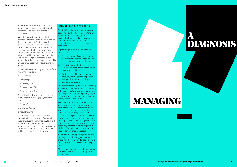In this report we will refer to economic security and economic insecurity, which describes a low or absent degree of confidence.

We will make reference to 'subjective economic security', which we have derived from Understanding Society data. To create a measure of subjective economic security, we combined responses to two questions about subjective assessments of respondents' current and future financial situations within the main Understanding Society data. Together these take into account how they are managing now and in a years' time. Specifically, respondents are asked:

1. How well would you say you yourself are managing these days?

- *a. Living comfortably*
- *b. Doing alright*
- *c. Just about getting by*
- *d. Finding it quite difficult*
- *e. Finding it very difficult*

2. Looking ahead, how do you think you will be financially managing a year from now?

- *a. Better off*
- *b. Worse off than now*
- *c. About the same*

Combinations of responses were then categorised into four levels of economic security groupings: high, medium, low, and very low. This approach is outlined in full in the technical appendix and reference to subjective economic security in the data will be used to refer to this measure.

We address these hypotheses by exploring a chronology of experiences for those living with one or multiple long-term conditions, including at the point of diagnosis, going on to live well with long-term conditions and looking ahead to the future.

#### **Box 2:** Research hypotheses

We place a particular focus on those of working age who are navigating work, their health and preparing for the future. We also acknowledge that those living with one or more long-term conditions are not a homogenous group. The nature and implications of a long-term condition will vary depending on the diagnosis and a number of wider factors, and additionally, some may or may not have a registered disability. This will relate to their ability to receive certain kinds of support.

This briefing is informed by data analysis conducted by the RSA of Understanding Society. Our analysis sought to quantitatively explore the prevalence and nature of economic security amongst those living with one or more long-term conditions.

In particular, we set out with three key hypotheses:

- 1. The experience of economic insecurity is acutely felt by those living with single or multiple long-term conditions.
- 2. The factors contributing to economic security vary from those living with no long-term conditions.
- 3. Covid-19 has added to the scale of insecurity for the general population and specifically for those living with long-term conditions.

As set out in the supporting data for this briefing, our analysis suggests that each of these hypotheses are evidenced. For more detail, see our accompanying data deep dive.

More information on the methodology for this work can be found in the appendix of this briefing.

# MANAGING

# A DIAGNOSIS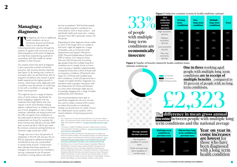# **Managing a diagnosis**

The diagnosis of a first or additional<br>
Improving economic security, through the<br>
Improving economic security, through the health condition can be an emotional, physical and financial shock in an individual's life. systems of support that surround us and tailored guidance at the point of diagnosis, can help those experiencing a period of uncertainty with their health to remain confident in their finances.

This might be due to a range of reasons, many of which interact. Specifically, for those navigating a diagnosis and any treatment that might follow, they may require a much more flexible working pattern, reduced hours or indeed to move out of work altogether. In each of these instances, individuals risk losing income and the offer of support from employers or the state tends to fall short of the income employment can bring. For example, for those moving onto statutory sick pay (SSP) their income will fall to £96.35 per week. By contrast, someone working full-time on minimum wage would earn £267.<sup>2</sup>

Our analysis shows the point of diagnosis is also a particular moment of financial precarity, with incomes directly impacted (see Figure 2). By looking over a series of successive years we see that those with no long-term conditions who remain in good health experience the highest growth in income, whilst those newly diagnosed with a condition over this period, or continuing to live with a condition, on average have lower income growth.

service occupations.<sup>4</sup> We find that people with multiple long-term conditions are more likely to work in these sectors – and specifically health and social care - making exclusion from SSP a particular concern for this group.

Though only one in four (26 percent) of employees in the UK with sick pay rely on SSP (as opposed to additional employer contributions), they are concentrated in certain kinds of work.<sup>3</sup> Government data indicates that three quarters of managers are covered by non-mandatory sick pay, compared to just 43 percent of workers in caring, leisure and other

Depending on their diagnosis, those unable to work in the longer-term, or unable to find work, might be eligible for a range of benefits, such as Universal Credit, Employment and Support Allowance (ESA), Personal Independence Payment (PIP) or others. Our research shows that over half (54 percent) of working age people living with multiple long-term conditions are in receipt of one or more work, housing or disability related benefits, compared to less than a third of those with no long-term conditions (29 percent) (see Figure 2).<sup>5</sup> Of those with multiple longterm conditions, a third (34 percent) are in receipt of multiple benefits. Diagnoses can, therefore, lead to greater interaction with the Department for Work and Pensions at a time when individuals might also be increasingly engaging with a range of health professionals and institutions.



Our recommendations here seek to specifically mitigate the risk of an income loss, and to create a cultural shift in policy to reduce the burden on individuals. Instead, we should strive to create a forum for collaboration across systems, with a shared ambition of improving economic security.

- 2 For an adult over 25 years old working 30 hours at a minimum wage of £8.91. UK Government (2021) *National Minimum Wage and National Living Wage rates.* [online]. Available at: [www.gov.uk/national-minimum-wage](http://www.gov.uk/national-minimum-wage-rates )[rates](http://www.gov.uk/national-minimum-wage-rates )
- 3 O'Connor, S. (2020) Threadbare sick pay is a false economy. Financial Times, [online] 27 October. Available at: [www.ft.com/content/51aea217-](http://www.ft.com/content/51aea217-4da7-423a-9e77-50eea30fe903) [4da7-423a-9e77-50eea30fe903](http://www.ft.com/content/51aea217-4da7-423a-9e77-50eea30fe903)
- 4 Department for Work and Pensions and Department of Health and Social Care (2019). Health in the workplace: patterns of sickness absence, employer support and employment retention. [pdf]. Available at: [www.](http://www.assets.publishing.service.gov.uk/government/uploads/system/uploads/attachment_data/file/817124/health-in-the-workplace-statistics.pdf) [assets.publishing.service.gov.uk/government/uploads/system/uploads/](http://www.assets.publishing.service.gov.uk/government/uploads/system/uploads/attachment_data/file/817124/health-in-the-workplace-statistics.pdf) [attachment\\_data/file/817124/health-in-the-workplace-statistics.pdf](http://www.assets.publishing.service.gov.uk/government/uploads/system/uploads/attachment_data/file/817124/health-in-the-workplace-statistics.pdf)
- 5 Specifically, one or more of: Income Support, Jobseekers Allowance, Child Benefit, Universal Credit, Incapacity Benefit, Employment and Support Allowance, Carer's Allowance, Disability Living Allowance, Personal Independence Payments, Attendance Allowance, Industrial Injury Disablement Benefit, Sickness and Accident Insurance, Foster Allowance, Maternity Allowance, In-work Credit for Lone Parents, Return to Work Credit, Working Tax Credit, Council Tax Reduction, Rate Rebate, Housing Benefit, Rent Rebate, any other disability related or state benefit.



#### **No longterm conditions One long-term condition Multiple long-term conditions Total** security 41% 38% 29% 39% 38% 39% 38% 38% security 19% 20% 28% 20% 2% 3% 6% 3%

# **One in three** working aged people with multiple long-term **multiple benefits** - compared to 10 percent of people with no long-

**Year-on-year in- come increases are lowest** for those who have been diagnosed with a long-term health condition

#### **Figure 1:** Subjective economic security by health conditions, national

**Figure 2:** Number of benefits claimed by health condition status, national, working age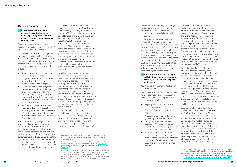# Recommendations

1 **Provide tailored support on economic security for those managing a long-term condition diagnosis through local economic security hubs.**

*To ensure that people with long-term conditions are comprehensively and holistically supported to maintain economic security.*

We recommend the remit of integrated care systems, defined in the Health and Social Care White Paper, to include a hub of services and support for their economic security, with tailored support for those managing a new diagnosis. This would include:

- A new role an economic security advisor - designed to act as a designated point of contact for those living with long-term conditions, with outreach at the point of diagnosis.
- Collaboration between integrated care systems, local authorities, housing providers, Jobcentres (including Access to Work teams), employer representatives and local residents to design the necessary service offer within each local place.
- An offer of pooled local resources, referrals and advice for those living with long-term conditions and in need of additional support or information in relation to their current and future financial situation.

The period following a diagnosis is often stressful and navigating the complex system of support risks a detrimental impact on an individual's wellbeing. With commissioned services such as Macmillan welfare rights advice for those navigating a cancer diagnosis and local authority welfare rights offers unevenly provided across the country, the economic security hub would be an opportunity to ensure that all people managing a diagnosis have access to the same level of support.<sup>6</sup>

The Health and Social Care White Paper sets out a departure from Clinical Commissioning Groups (CCGs) and towards ICS, offering a timely opportunity to build infrastructure around economic security as a public health outcome.<sup>7</sup> In particular, ICS Health and Care Partnerships have a remit to 'address the systems' health, public health and social care needs and action 'place based joint working between the NHS, local government, community health services and other partners such as the voluntary and community sector'.<sup>8</sup> Given the interconnection of economic security with a range of health and public health needs, such a hub could be supported as part of this remit.

Individuals would be connected with this support on diagnosis through a prescription model, mirroring how social and medical prescriptions work and meaning that the service referral is built into existing systems. A hub would bring together opportunities for a range of local stakeholders to collaborate around service provision or information sharing according to the needs of the local area. By engaging those in receipt of such support and residents more widely, hubs can work to meet the needs of the population they serve by design.

Our recommendation for the establishment of economic security advisors would ensure those with longterm conditions are able to access the benefits they are entitled to following a diagnosis and help to navigate the labyrinthine welfare system. As a person's

- 6 Macmillan (2021) Welfare Rights Advice. [online]. Available at: [www.](http://www.macmillan.org.uk/cancer-information-and-support/get-help/financial-help/welfare-rights-advice ) [macmillan.org.uk/cancer-information-and-support/get-help/financial-help/](http://www.macmillan.org.uk/cancer-information-and-support/get-help/financial-help/welfare-rights-advice ) [welfare-rights-advice](http://www.macmillan.org.uk/cancer-information-and-support/get-help/financial-help/welfare-rights-advice )
- 7 Department for Health and Social Care (2021) Working together to improve health and social care for all. [pdf]. Available at: [www.gov.uk/](http://www.gov.uk/government/publications/working-together-to-improve-health-and-social-care-for-all ) [government/publications/working-together-to-improve-health-and-social](http://www.gov.uk/government/publications/working-together-to-improve-health-and-social-care-for-all )[care-for-all](http://www.gov.uk/government/publications/working-together-to-improve-health-and-social-care-for-all )
- 8 Department for Health and Social Care (2021) Integration and Innovation: working together to improve health and social care for all. [pdf]. Available at: [www.assets.publishing.service.gov.uk/government/uploads/system/](http://www.assets.publishing.service.gov.uk/government/uploads/system/uploads/attachment_data/file/960548/integration-and-innovation-working-together-to-improve-health-and-social-care-for-all-web-version.pdf ) [uploads/attachment\\_data/file/960548/integration-and-innovation-working](http://www.assets.publishing.service.gov.uk/government/uploads/system/uploads/attachment_data/file/960548/integration-and-innovation-working-together-to-improve-health-and-social-care-for-all-web-version.pdf )[together-to-improve-health-and-social-care-for-all-web-version.pdf](http://www.assets.publishing.service.gov.uk/government/uploads/system/uploads/attachment_data/file/960548/integration-and-innovation-working-together-to-improve-health-and-social-care-for-all-web-version.pdf )

relationship with their diagnosis changes, the advisor would be able to refer them to employment or volunteer services and, where relevant, collaborate with Jobcentres.

Crucially, this would not be the end of the relationship. Recognising that a person may move in and out of work as their condition develops or things just don't work out at a job, the advisor would be on hand to offer support in accessing benefits once again. An advisor would be in place to offer as much or as little support needed to ensure their economic security and would span the breadth of contributory factors that affect an individual's economic security  $including - and not limited to - income,$ debt, housing and employment.

#### 2 **Ensure that statutory sick pay is sufficient and supports economic security at the point of diagnosis and beyond.**

*To smooth the transition in and out of work and reduce instability.*

We recommend that central government reviews statutory sick pay to account for the following expansion of provision and rise in payment level:

- Eligibility to start from the first day of need (ie no waiting days).
- Removal of lower income limit for eligibility.
- Available for up to 52 weeks with a gradual taper across this period.
- Change payment to hourly and increase to 70 percent of pay with a lower limit of minimum wage and to a maximum of £2,500 per month.
- For those working on zero-hours contracts, pay should represent average hours worked in the last three months and, for all contract types, SSP should flexibly cover any hours not worked.

For those on low pay, or those who might experience more frequent bouts of leave due to a health condition, the system offers very little financial support and at the statutory level can equate to a loss of income. This increase to the level of statutory payment is suggested under the principle that loss of work due to sickness or ill health should not be a barrier to achieving economic security. For this reason the minimum payment level we recommend is a level of payment equated to the minimum wage as a lower limit and 70 percent of income otherwise. This would equate the UK's policy to the average across OECD countries.

Removing wait days should support people to take the time they need to manage a new diagnosis and the financial and personal implications this might bring, whilst the removal of the lower income limit should mean that there is no complete loss of income due to ill health. As an example, last year, RSA research found that 11 percent of all care workers (an estimated 79,000 people) earn less than £118 per week and are therefore ineligible for SSP.<sup>9</sup> In this research we found that those living with multiple long-term conditions are more likely to work in the health and care sector than others.

Last year, the Resolution Foundation calculated that increasing SSP from £96 to £160 would entail a cost of £2bn, under the assumption that half of eligible employees were taking two weeks leave due to Covid-19 related sickness or isolation.10 Our recommendation to 70 percent of average earnings (£224) would represent a cost of closer to £4bn under these conditions, though this is likely to be the upper end as we move away from the pandemic and far less than half of eligible employees taking such leave. The government is currently running a

<sup>9</sup> Jooshandeh, J. and Lockey, A. (2020) All clapped out? Key workers living through lockdown. [pdf]. Available at:[www.thersa.org/reports/clapped-out](http://www.thersa.org/reports/clapped-out)

<sup>10</sup> Resolution Foundation (2020) *Doing what it takes: Protecting firms and families from the economic impact of coronavirus*. [pdf]. Available at: [www.](http://www.resolutionfoundation.org/app/uploads/2020/03/Doing-what-it-takes.pdf) [resolutionfoundation.org/app/uploads/2020/03/Doing-what-it-takes.pdf](http://www.resolutionfoundation.org/app/uploads/2020/03/Doing-what-it-takes.pdf)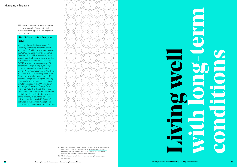SSP rebate scheme for small and medium enterprises which offers a potential mechanism for support for employers to meet this cost.

#### **Box 3:** Sick pay in other coun tries

In recognition of the importance of financially supporting people to isolate and contain Covid-19, many members of the OECD (Organisation for Economic Co-operation and Development) have strengthened sick pay provision since the outbreak of the pandemic.<sup>11</sup> Across the OECD, sick pay covers on average 70 percent of an eligible employee's wage during a four-week spell of illness with Covid-19.<sup>12</sup> In many countries in Northern and Central Europe including Austria and Germany, the replacement rate is 100 percent. Though often supplemented by non-mandatory employer contributions, statutory sick pay in the UK only covers an average 10 percent of wages for a four-week Covid-19 illness. This is the third lowest rate among OECD countries, behind the US and South Korea. In fact, only a minority of countries' sick pay policies cover less than half of person's last wage, including most Anglophone countries, Italy, South Korea and Colombia.



11 OECD (2020) Paid sick leave to protect income, health and jobs through the COVID-19 crisis. [online]. Available at: [www.oecd.org/coronavirus/](http://www.oecd.org/coronavirus/policy-responses/paid-sick-leave-to-protect-income-health-and-jobs-through-the-covid-19-crisis-a9e1a154/#figure-d1e652) [policy-responses/paid-sick-leave-to-protect-income-health-and-jobs](http://www.oecd.org/coronavirus/policy-responses/paid-sick-leave-to-protect-income-health-and-jobs-through-the-covid-19-crisis-a9e1a154/#figure-d1e652)[through-the-covid-19-crisis-a9e1a154/#figure-d1e652](http://www.oecd.org/coronavirus/policy-responses/paid-sick-leave-to-protect-income-health-and-jobs-through-the-covid-19-crisis-a9e1a154/#figure-d1e652)

12 This is calculated for a full-time private-sector employee earning an average wage.

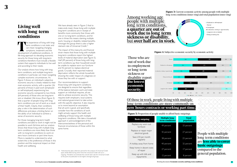# Among working age people with multiple long-term conditions, **a quarter are out of work due to long-term sickness or disability**, but **over half are in work.**

Those who are out of work due to employment or long-term sickness or disability report **the lowest economic security.**



#### **Figure 3:** Current economic activity among people with multiple long-term conditions (inner ring) and total population (outer ring)



- Employed or self-employed
- Retired
- Unemployed
- In education, training or apprenticeship
- Long-term sick or disabled
- Doing something else

#### **Figure 4:** Subjective economic security by economic activity

| Total      |
|------------|
| population |



| <b>Basic outgoing</b>                       | <b>Multiple long-</b><br>term conditions | <b>Total</b><br>populatio |
|---------------------------------------------|------------------------------------------|---------------------------|
| Replace any worn out<br>furniture           | 49 percent                               | 33 percent                |
| Replace or repair major<br>electrical goods | 42 percent                               | 27 percent                |
| Save £10 per month<br>regularly             | 38 percent                               | 25 percent                |
| A holiday away from home                    | 40 percent                               | 32 percent                |
| Keep home in decent state<br>of repair      | 27 percent                               | 17 percent                |
| Keep up with bills and<br>repayments        | 12 percent                               | 8 percent                 |
|                                             |                                          |                           |

The experience of living with long-<br>term conditions is not static and<br>can mean navigating changing<br>symptoms, treatment and the<br>development of additional conditions. A term conditions is not static and can mean navigating changing symptoms, treatment and the life-long approach to elevating economic security for those living with long-term conditions therefore must include a flexible system that supports individuals to live well and according to their needs.

**Figure 5:** Proportion of people unable to afford basic outgoings

# Of those in work, people living with multiple long-term conditions are more commonly on **zero-hours contracts or working part time.**

People with multiple long-term conditions are **less able to cover basic outgoings** compared to the general population.

# **Living well with long-term conditions**

We have already seen in Figure 2 that to make ends meet, those living with multiple long-term conditions are in receipt of benefits more commonly than those with one or no long-term conditions, and for one in three this means claiming multiple work, housing or disability related benefits. Amongst this group there is also a higher claimant rate of Universal Credit.<sup>13</sup>

Our analysis shows how living with longterm conditions, and multiple long-term conditions in particular, can mean navigating complex economic circumstances. As Figure 4 shows, an individual's subjective economic security is closely related to their main economic activity, with a quarter (26 percent) of those in paid work (employed or self-employed) experiencing low economic security compared to two thirds (64 percent) of those who are long-term sick or disabled. We know (from Figure 3) that a quarter of people living with longterm conditions are out of work as a result of their health. Clearly, their conditions play a role in the determination of such differences and place a limiting factor on the ability of an individual to achieve a sense of economic security.

For those managing long-term health conditions and able to work it might not be possible to work full-time and our analysis shows that those living with multiple longterm conditions are more likely than those with no long-term conditions to work on zero hours contracts or part time hours. More is needed to understand to what extent this is the preference of those in this position and the reciprocal impact on their health and wellbeing.

The impact of this insecurity and financial strain means that those living with multiple long-term conditions report the highest levels of material deprivation (see Figure 5). Half (49 percent) of those living with longterm conditions say their household would be unable to replace worn our furniture and 42 percent to replace electrical goods. Crucially, their reported material deprivation reflects the whole household, showing the wider impact of a diagnosis on those they live with or support.

Our recommendations to support those living with long-term conditions are designed to ensure that regardless of the balance between work and state support an individual requires, all are able to achieve economic security. This requires both employers, local systems and national government to take action with this specific objective. It also requires us to move beyond an assumption that all work is good, and specifically consider how the conditions of work might actively support the health and wellbeing of those living with multiple long-term conditions. We take a household approach in acknowledgement of the interconnectedness of the personal and financial circumstances of those within the same home.

13 Note that the data collection period for this analysis of Universal Credit spans 2018-2020 during which time the Universal Credit roll-out is ongoing. Therefore we estimate the overall claim rate for Universal Credit at the point of publication to be higher amongst all groups.

3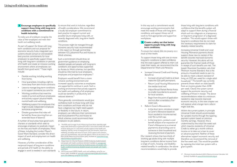In this way such a commitment would encourage working environments that meet the needs of those with long-term conditions, and support those out of work to find appropriate and supportive workplaces.

#### 4 **Create a safety net that better supports people living with longterm conditions.**

*To ensure that nobody falls into poverty as a result of their health.*

To support those living with one or more long-term conditions to take confidence that the state support offered to them will meet their needs, we recommend that the Department for Work and Pensions:

- Increase Universal Credit and Housing Benefit to:
	- Increase Universal Credit to at least make the £20 uplift permanent.
	- Return Local Housing Allowance to the median local rent.
	- Adjust Broad Market Rental Areas to smaller boundaries to account for local variation.
	- Begin from the point of application and not after a mandatory fiveweek wait.
- Reform Carer's Allowance to:
	- In the short term, introduce a taper to Carer's Allowance based on hours worked or income earned over the current cap.
	- In the long term, conduct a cost benefit analysis of an expansion of Carer's Allowance to a universal payment to all providing care to someone in their household and reviewing the level of payment.

Our research shows that two-thirds of working age adults living with multiple long-term conditions derive income from a range of work-, housing- and disabilityrelated benefits. In combination, the above recommendations would help to provide

those living with long-term conditions with confidence that the benefits system will adapt to support them during a financial shock such as a diagnosis or a temporary or long-term progression of a diagnosed condition. This would support those with long-term conditions that do not meet the necessary requirements to claim for disability-related benefits.

Increasing Universal Credit and Local Housing Allowance payments should support those new to receipt of the benefit towards improved economic security. However, this alone will not guarantee the financial needs of those in receipt of such benefits are met. The Joseph Rowntree Foundation sets their Minimum Income Standard, that is the amount a household needs to earn to be able to meet a decent standard of living, at £325 per week for a single adult household.17 The benefit cap currently prevents those reliant on state benefit from an income greater than £258 per week. Clearly the system cannot support the economic security and wellbeing of those in receipt. The above recommendations relate to a minimum needed to step towards improved economic security. In the next chapter we will explore what a longer-term reform might look like.

**3** Encourage employers to specifically to ensure that work is inclusive, regardless of health considerations. We recommend a locally led employer commitment to best practice to support current and possible future employees living with, or recently diagnosed with, long-term health conditions.

> Such a commitment should draw on government guidance on employing disabled people and people with long-term conditions and opportunities supported by Access to Work schemes, but specifics should be informed by local employers, employees and prospective employees.<sup>15</sup>

> Employers would benefit from a more inclusive working environment and increased capacity outcomes as employees are supported to continue in work. Such a working environment that actively supports the health and wellbeing of all employees could see benefits in productivity and reduced absence.<sup>16</sup>

> > Within the current system, in principle Universal Credit should accommodate for variable income through the tapering payment system based on previous monthly earnings. However, this is undermined by the initial five-week wait which requires recipients of Universal Credit to either go a month without income or to take out a loan to cover an advance payment. Neither of these alternatives support economic security and therefore we recommend the removal of the five-week wait. This would be possible by replacing the initial loan system with a grant system.

#### **support those living with long-term conditions with a commitment to health inclusivity.**

*To make sure all employers recognise the value of their employees and meet their health and wellbeing needs.* 

As part of support for those with longterm conditions and our proposal for economic security hubs, integrated care systems should consult on and establish best practice commitments for local employers to specifically support those living with long-term conditions or periods of ill health and create an inclusive working environment where all employees can benefit from good work.<sup>14</sup> These might include:

- Flexible working, including working from home.
- Hour guarantees, including a right to move away from zero-hours contracts.
- Leave to manage long-term conditions or to support someone you care for.
- Working conditions that meet the needs of current and future employees and actively support physical health, mental health and wellbeing.
- Wellbeing support for employees that might include independent employee assistance programmes.
- Greater guarantees that roles will be held for those returning from an extended leave of absence.

A number of local areas have good work charters or standards which seek to encourage employers to positively impact on the lives and health of employees. Many of these, including the London Mayor's Good Work Standard, consider the direct impact of work and employment on health and wellbeing.

However, a further consideration of the reciprocal impact of long-term conditions and periods of ill health on the ability to engage in work is needed in such standards This process might be managed through economic security hubs recommended in this report or through partnership between ICS, Jobcentre Plus and Access to Work schemes.

More generally, commitments would give confidence both to those living with longterm conditions and those who do not have a diagnosis but might need support or flexibility in the future. In return, employers can reference their commitment and local Jobcentre Plus and Access to Work schemes could recommend these employers to job seekers.

- 14 The RSA and Carnegie Trust's Measuring Good Work identifies eight measurable dimensions to good work; that is work which meets the needs of those taking part in it and which actively supports their health and wellbeing. Namely; terms of employment, pay and benefits, health and wellbeing, job design and nature of work, social support and cohesion, voice and representation, and work-life balance. More can be read at: The RSA (2018) Measuring Good Work. [pdf]. Available at: [www.thersa.org/](http://www.thersa.org/reports/measuring-good-work2) [reports/measuring-good-work2](http://www.thersa.org/reports/measuring-good-work2)
- 15 [Department for Work & Pensions \(2020\)](https://www.gov.uk/government/publications/employing-disabled-people-and-people-with-health-conditions/employing-disabled-people-and-people-with-health-conditions) Employing disabled people and people with health conditions. [online]. Available at: [www.gov.uk/](http://www.gov.uk/government/publications/employing-disabled-people-and-people-with-health-conditions/employing-disabled-people-and-people-with-health-conditions ) [government/publications/employing-disabled-people-and-people-with](http://www.gov.uk/government/publications/employing-disabled-people-and-people-with-health-conditions/employing-disabled-people-and-people-with-health-conditions )[health-conditions/employing-disabled-people-and-people-with-health](http://www.gov.uk/government/publications/employing-disabled-people-and-people-with-health-conditions/employing-disabled-people-and-people-with-health-conditions )[conditions](http://www.gov.uk/government/publications/employing-disabled-people-and-people-with-health-conditions/employing-disabled-people-and-people-with-health-conditions )
- 16 HM Government (2005) Health, work and wellbeing: caring for our future. [pdf]. Available at: [www.gov.uk/government/publications/health](http://www.gov.uk/government/publications/health-work-and-wellbeing-caring-for-our-future)[work-and-wellbeing-caring-for-our-future](http://www.gov.uk/government/publications/health-work-and-wellbeing-caring-for-our-future)

<sup>17</sup> Minimum Income Standard (2021) Minimum Income Calculator UK. [online]. Available at: [www.minimumincome.org.uk](http://www.minimumincome.org.uk)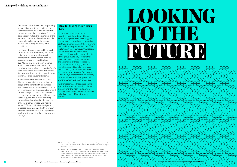Our research has shown that people living with multiple long-term conditions are the most likely to live in households that experience material deprivation. This data does not just reflect the experience of the individual, but rather shows how a whole household is affected by the economic implications of living with long-term conditions.

In the longer term, a review of Carer's Allowance is needed to ensure that the design of the benefit is fit for purpose. We recommend an exploration of a more universal system for those providing unpaid care including the potential impact on the economic security of households in receipt. Specifically, this would mean removing the conditionality related to the number of hours of care provided and income earned.<sup>18</sup> This would acknowledge the increased costs associated with providing care and the societal value of unpaid care work whilst supporting the ability to work flexibly.<sup>19</sup>

For those who are supported by unpaid carers within their household, the system disincentivises household economic security as the entire benefit is lost at a certain income and working hours cap. Moving to a taper system, whereby any income earned above this limit is matched with a gradual decrease in Carer's Allowance would reduce the disincentive for those providing care to engage in work to increase their household income.

#### **Box 4:** Building the evidence base

# **LOOKING TO THEF FUTURE**

Our quantitative analysis of the experiences of those living with one or more long-term conditions suggests employment on zero-hours or part-time contracts is higher amongst those in work with multiple long-term conditions. The implementation of our recommendations around living well with long-term conditions should include a consideration of this group but to fully support their needs we need to know more about the experience of these contracts in combination with managing one or more health conditions. For example, Understanding Society does not allow us to explore the motivations for engaging in this work, whether individuals feel they have a choice or what their preferred working pattern and hours would be.

Further research on these areas would ensure that economic security hubs and a commitment to health inclusivity as recommended would be able to support individuals across different working patterns.

- 18 Currently Carer's Allowances is provisional on supporting someone in the same household with at least 35 hours of care and an income of no higher than £128 per week.
- 19 Department for Work & Pensions (2020) DWP benefits statistical summary, February 2020. [online]. Available at: [www.gov.uk/government/](http://www.gov.uk/government/statistics/dwp-benefits-statistics-february-2020/dwp-benefits-statistical-summary-february-2020#:~:text=The%20total%20number%20of%20people,have%20contributed%20to%20this%20rise) [statistics/dwp-benefits-statistics-february-2020/dwp-benefits-statistical](http://www.gov.uk/government/statistics/dwp-benefits-statistics-february-2020/dwp-benefits-statistical-summary-february-2020#:~:text=The%20total%20number%20of%20people,have%20contributed%20to%20this%20rise)[summary-february-2020#:~:text=The%20total%20number%20of%20](http://www.gov.uk/government/statistics/dwp-benefits-statistics-february-2020/dwp-benefits-statistical-summary-february-2020#:~:text=The%20total%20number%20of%20people,have%20contributed%20to%20this%20rise) [people,have%20contributed%20to%20this%20rise](http://www.gov.uk/government/statistics/dwp-benefits-statistics-february-2020/dwp-benefits-statistical-summary-february-2020#:~:text=The%20total%20number%20of%20people,have%20contributed%20to%20this%20rise)

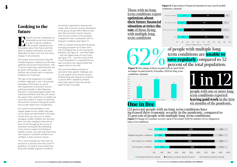term conditions are **unable to save regularly** compared to 52 percent of the total population.

# **One in five**

(21 percent) people with no long-term conditions have increased their economic security in the pandemic, compared to 15 percent of people with multiple long-term conditions. **Figure 7:** Change in economic security April to November 2020 by number of ever diagnosed long-term conditions



Those with no longterm conditions report **optimism about their future financial situation at twice the rate** of those living with multiple longterm conditions

**Economic security is defined by its relationship across time horizons.**<br>
In order to derive confidence in the present, individuals must feel positive about their future and their relationship across time horizons. In order to derive confidence in the present, individuals must ability to support themselves and those dependent on them over time and across changes in circumstances.

# **Figure 6:** Expectation of financial situation in one year by health



of people with multiple longterm conditions are **unable to the SCR COVER COVER COVER COVER COVER COVER COVER COVER COVER COVER COVER COVER COVER COVER COVER COVER COVER COVER COVER COVER COVER COVER COVER COVER COVER COVER** 

# **Looking to the future**

Our analysis shows that those living with multiple long-term conditions are the least optimistic about their financial future, with 13 percent reporting a sense that they will be better off financially in a years' time (half the rate of those with no long-term conditions at 27 percent).

The idea of the progression of a health condition might play a role in this group's anticipation of the future as well as their experiences of economic security and financial health to date. Balancing financial or work-based opportunities with enhanced confidence that they will receive the support they need from our health and social care systems is critical to improving the economic security of this group and an area we feel needs more consideration.



Our central recommendation in this chapter speaks to the volatility that plays out for those who feel limited in the types of work they can carry out, or where managing a health condition into the long term can mean needing to take time to focus on this throughout the course of someone's working life. By embedding more universal support and hoping to stabilise incomes, we hope that those living with long-term conditions will feel more confident in their economic futures.

This is more pressing now than ever. As we look to a recovery from the Covid-19 pandemic, we need to ensure that those living with multiple long-term conditions

are actively supported to improve and sustain their economic security. Particularly as this group are just half as likely to have seen their economic security improve over the early months of the pandemic compared to their counterparts with no long-term conditions (see Figure 7).

With our analysis showing that the groups are facing increased risk to their work – with the highest loss of work during the pandemic, see Figure 8 – and their health – with the highest rates of Long Covid, see Figure X.X – over the course of the Covid-19 pandemic it is essential that we seek innovative new opportunities that support them to live well.

Our recommendations attempt to overcome these specific challenges, but to truly support the economic security of those living with long-term conditions, a cultural shift is needed to reframe what state support looks like and the opportunities it provides.

4

conditions, national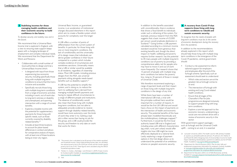In addition to the benefits associated with unconditionality, there is evidence that shows a fiscal benefit to individuals under such a reframing of the system. For example, previous research from the RSA suggests that a basic income of £5,000 per annum would eradicate destitution in Scotland.<sup>22</sup> Going further, a UBI payment calculated according to a minimum income standard would be more generous than existing benefits and, though the direct impact on health, wellbeing and poverty requires further research, has the potential to lift many people with multiple long-term conditions out of poverty by providing a comprehensive safety net for people who may have to move in and out of work more frequently. Our research shows that 15 percent of people with multiple longterm conditions live below the poverty line, rising to 35 percent of those in receipt of Universal Credit.

We therefore recommend exploring a range of payment levels and their impact on those living with multiple long-term conditions in the design of any trial.

While there have been a number of international UBI trials, a trial with the principles outlined here would be important for a number of reasons. It would be the first UK UBI trial and would have a focus on the impact of payments on the intersection of health and economic security. The potential benefits of this have already been modelled theoretically and the multidisciplinary challenges mapped.<sup>23</sup> Furthermore, it would be the first local authority based UBI trial in England and including areas with different characteristics (eg urban, rural, peri-urban) would offer insights into how UBI might be more effectively deployed at a national level. Lastly, exploring a range of payment options in the trial design allows us to understand the potential of an ambitious scheme on people's economic security.

- Conduct a risk assessment to inform tailored support for employers and employees after the end of the furlough scheme. Specifically, such an assessment should seek to understand:
	- Which roles and sectors are at the greatest risk as furlough comes to an end.
	- The intersection of furlough with existing and Long Covid related health conditions.
	- Ensure that all stages of the Chancellor's Plan for Jobs programme are designed inclusively to support people living with longterm conditions.
	- Explore a care-led approach to the economic recovery, underpinning a social care recruitment drive with a review of economic security in the sector.

#### 6 **A recovery from Covid-19 that supports those living with longterm conditions to rebuild and sustain economic security.**

*To recognise that the needs of people with long-term conditions must be at the centre of economic development during the recovery from the pandemic.* 

In addition to the recommendations already explored in this report which should help those living with multiple longterm conditions in the emergence of the Covid-19 pandemic, central government should:

A UBI offers a number of points of differentiation from the current system of benefits. In particular, for those living with one or more long-term conditions, the lack of conditionality and the universality of its design means that individuals can derive greater confidence in their future compared to a system which includes complex evidence of circumstances and sometimes sanctions. Universality means that a UBI or similar would be available to all residents, regardless of citizenship status. Most UBI models, including previous designs from the RSA, see universal payments sitting alongside needs-based benefits such as disability support.<sup>21</sup>

> With government support packages – such as furlough and the Universal Credit uplift – coming to an end, it is essential

- 23 Lancaster University (2021) The health case for UBI. [online]. Available at: wp.lancs.ac.uk/healthcaseforubi; Johnson, M, Johnson, EA, Nettle, D and Pickett KE (2021) Designing trials of Universal Basic Income for health impact: identifying interdisciplinary questions to address, Journal of Public Health. Available at: [doi.org/10.1093/pubmed/fdaa255](https://doi.org/10.1093/pubmed/fdaa255).
- 24 Department for Work & Pensions (2021) 'Plan for Jobs' skills and employment programmes: information for employers. [online]. Available at: [www.gov.uk/guidance/plan-for-jobs-skills-and-employment](http://www.gov.uk/guidance/plan-for-jobs-skills-and-employment-programmes-information-for-employers#skills-bootcamps)[programmes-information-for-employers#skills-bootcamps](http://www.gov.uk/guidance/plan-for-jobs-skills-and-employment-programmes-information-for-employers#skills-bootcamps)
- 25 Department for Education (2021) List of Skills Bootcamps. [online]. Available at: [www.gov.uk/government/publications/find-a-skills-bootcamp/](http://www.gov.uk/government/publications/find-a-skills-bootcamp/list-of-skills-bootcamps) [list-of-skills-bootcamps](http://www.gov.uk/government/publications/find-a-skills-bootcamp/list-of-skills-bootcamps)

21 Painter, A., Cooke, I., Burbidge, I. and Ahmed, A. (2019) A basic income for Scotland. [pdf]. Available at: [www.thersa.org/globalassets/pdfs/rsa-a](http://www.thersa.org/globalassets/pdfs/rsa-a-basic-income-for-scotland.pdf)[basic-income-for-scotland.pdf](http://www.thersa.org/globalassets/pdfs/rsa-a-basic-income-for-scotland.pdf)

#### 5 **Stabilising incomes for those managing health conditions and their economic security to build confidence in the future.**

*To develop security and stability now and in the future.*

We recommend that a Universal Basic Income trial is explored in England, with a view to ensuring state support keeps apace with a changing landscape of employment and complex individual needs. We recommend that the Department for Work and Pensions:

- Collaborates with a small number of local authorities to design and trial a Universal Basic Income which:
	- Is designed with input from those experiencing low economic security, including specifically those living with multiple long-term conditions to ensure that the trial is inclusive and accessible.
	- Specifically recruits those living with multiple long-term conditions from a range of economic activities including in work, out of work due to long-term sickness or disability and unemployed, and spanning intersection with a range of current benefits.
	- Explores a liveable income with the potential for supplementary payments for those living with specific needs, such as those currently covered by disability related benefits.20
	- Includes at least three locations to account for place-based differences in context and allows for comparative analysis of impact, with at least one of these locations being an inner-city region.

Universal Basic Income, or guaranteed income, is an acceleration of institutional changes discussed elsewhere in this report which aim to create a flexible system which accounts for complexity over the longer term.

A UBI has the potential to simplify the system, and in doing so, to reduce the harm to wellbeing that is derived from managing multiple benefit payments and having to repeat difficult circumstances to a range of different people and institutions. The absence of conditionality would also mean that those living with multiple long-term conditions, but not able to adequately provide evidence to receive support through disability-related benefits, would have more autonomy over the kinds of work they enter in to. Getting a bad job is often worse than having no job for this group, and a UBI could provide the security and freedom to only take on work that works for them.

22 Ibid.

<sup>20</sup> The poverty line is calculated to be 60 percent of the median equalised net household income. Using Understanding Society data, we calculated the national poverty line to be £1010 per month and the London specific poverty line to be £1142. These figures were calculated using the OECD household equivalence scales.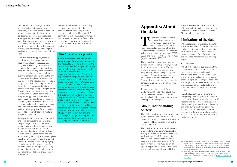# **Appendix: About the data**

This enquiry into the economic<br>
security of those living with<br>
long-term conditions is largely<br>
based on RSA analysis of the<br>
most recent data publications from the security of those living with long-term conditions is largely based on RSA analysis of the Understanding Society study. Namely, this includes wave 10 of the main study (2018- 2020), and wave 1-6 of the Covid-19 study (April - November 2020).26,27

The data collated considers a range of dimensions of economic security, defined across wider work from the RSA, and explores these experiences for those living with no, one or multiple long-term conditions. A case study focus is placed on the case study area Lambeth and Southwark which offers an insight into the particular experiences in an urban, innercity context.

To support the data analysis from Understanding Society, this report also makes reference to wider contextual statistics. Each of these are referenced as they appear in the report.

## About Understanding Society

The Understanding Society study is funded by the Economic and Social Research Council and is led by a team at the Institute for Social and Economic Research at the University of Essex.

The principal data source for this research is Understanding Society. Understanding Society is an annual household longitudinal study with over 34,000 respondents. This includes an ethnic minority boost sample to enable subgroup analysis for ethnic minorities. The study covers all ages, though in our survey we restrict our analysis to those over 16 years old. The

study also covers the whole of the UK. When we refer to national data, therefore, we mean the data of England, Scotland, Northern Ireland and Wales.

### Limitations of the data

When reading and interpreting the data there are a number of considerations and limitations it is important to remain mindful of. Some of these have been covered in earlier sections of this Appendix but are reiterated here for the sake of being explicit.

• Base sizes

Whilst at the national level the size of the survey affords us with usable minimum base sizes across most data points, naturally this decreases when looking at smaller geographical areas for analysis or specific subgroups. Unweighted base sizes are always listed in the charts in this report and the accompanying data tables and base sizes under 50 should be taken with caution.

In particular, caution should be taken in interpreting the data specific to Lambeth and Southwark. A minimum base size of 50 respondents is not met for the Covid-19 Understanding Society data and therefore only main survey analysis is conducted for these local authorities. Further, for data representing these areas we have pooled the local authorities to ensure a necessary minimum base size.

that there is not a cliff-edge for those at risk of losing their jobs or income. By conducting a risk assessment of roles and sectors, support into the longer term can be designed to ensure that viable jobs are supported. Any such risk assessment should include a consideration of how roles have been impacted for those living with long-term conditions during the pandemic, including the relationship with Long Covid, shielding and other diagnoses over this past year.

Even with tailored support, there will be job losses still to come. But the government's flagship jobs recovery programme, Plan for Jobs falls short of providing the needed support for those living with multiple long-term conditions, despite their disproportionate job loss over the pandemic. For example, the only dimension of the plan directed at those seeking work and not specifically for young people is the Skills Bootcamp proposal.<sup>24</sup> Currently, an emphasis is placed on construction, engineering and digital skills.<sup>25</sup> But our research shows that those living with multiple long-term conditions are less likely to occupy roles in the construction sector than their counterparts with one or no long-term conditions. As this plan continues to be implemented, government should outline how the interventions included are appropriate for and can be tailored to support those with multiple long-term conditions.

An expansion of bootcamps to the health and social care sector is one way that the plan might better support those with multiple long-term conditions. We know from this research that this is a sector more heavily populated by those with multiple long-term conditions (see accompanying data dive). Additionally, given the strain on current services and a need to reform the sector (see accompanying data dive), a care-led recovery plan for skills and jobs would support those living with multiple long-term conditions both through increased service provision and job creation.

In order for a care-led recovery to fully support economic security of those employed in the sector or potential employees, reforms will be needed. A commitment to health inclusivity for good work (see recommendation 3) would be a start, and in particular a review of the use of minimum wage and zero-hours contracts.

#### **Box 5:** Building best practice

Across our recommendations we are asking a range of stakeholders at the local and national level to make changes to the level or nature of their support for people living with long-term conditions. In order to do this effectively and sustainably it is important that the voices of those with experiences of living with one and with multiple long-term conditions are able to participate in such changes. Underpinning each of these recommendations, therefore, we recommend opportunities for participation to support the design of new process, practice or payments from a diverse group of residents living with long-term conditions. This should include those currently in work, in receipt of a range of benefit payments and those who are not currently in work. By working collaboratively with those affected by these policy and practices, actors in the system of support can be confident that they are taking steps to genuinely support the economic security of this group and are accounting for different experiences.

<sup>26</sup> University of Essex, Institute for Social and Economic Research, NatCen Social Research, Kantar Public. (2020) Understanding Society: Waves 1-10, 2009-2019 and Harmonised BHPS: Waves 1-18, 1991-2009. [data collection]. 13th Edition. UK Data Service. SN: 6614, Available at: [doi.](http://doi.org/10.5255/UKDA-SN-6614-14) [org/10.5255/UKDA-SN-6614-14](http://doi.org/10.5255/UKDA-SN-6614-14) .

<sup>27</sup> University of Essex, Institute for Social and Economic Research. (2020) Understanding Society: COVID-19 Study, 2020. [data collection]. 4th Edition. UK Data Service. SN: 8644, Available at: [doi.org/10.5255/UKDA-](http://doi.org/10.5255/UKDA-SN-8644-4)[SN-8644-4](http://doi.org/10.5255/UKDA-SN-8644-4).